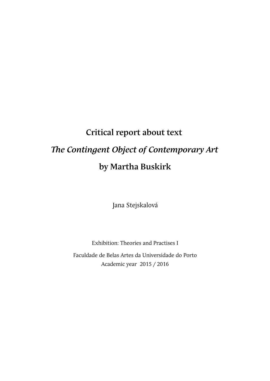## **Critical report about text**  *The Contingent Object of Contemporary Art* **by Martha Buskirk**

Jana Stejskalová

Exhibition: Theories and Practises I

Faculdade de Belas Artes da Universidade do Porto Academic year 2015 / 2016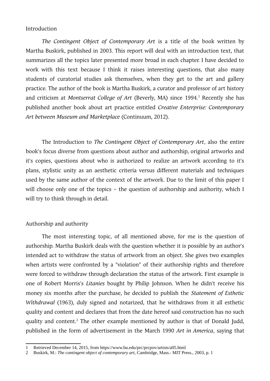## Introduction

*The Contingent Object of Contemporary Art* is a title of the book written by Martha Buskirk, published in 2003. This report will deal with an introduction text, that summarizes all the topics later presented more broad in each chapter. I have decided to work with this text because I think it raises interesting questions, that also many students of curatorial studies ask themselves, when they get to the art and gallery practice. The author of the book is Martha Buskirk, a curator and professor of art history and criticism at *Montserrat College of Art* (Beverly, MA) since [1](#page-1-0)994.<sup>1</sup> Recently she has published another book about art practice entitled *Creative Enterprise: Contemporary Art between Museum and Marketplace* (Continuum, 2012).

The Introduction to *The Contingent Object of Contemporary Art*, also the entire book's focus diverse from questions about author and authorship, original artworks and it's copies, questions about who is authorized to realize an artwork according to it's plans, stylistic unity as an aesthetic criteria versus different materials and techniques used by the same author of the context of the artwork. Due to the limit of this paper I will choose only one of the topics – the question of authorship and authority, which I will try to think through in detail.

## Authorship and authority

The most interesting topic, of all mentioned above, for me is the question of authorship. Martha Buskirk deals with the question whether it is possible by an author's intended act to withdraw the status of artwork from an object. She gives two examples when artists were confronted by a "violation" of their authorship rights and therefore were forced to withdraw through declaration the status of the artwork. First example is one of Robert Morris's *Litanies* bought by Philip Johnson. When he didn't receive his money six months after the purchase, he decided to publish the *Statement of Esthetic Withdrawal* (1963), duly signed and notarized, that he withdraws from it all esthetic quality and content and declares that from the date hereof said construction has no such quality and content.<sup>[2](#page-1-1)</sup> The other example mentioned by author is that of Donald Judd, published in the form of advertisement in the March 1990 *Art in America*, saying that

<span id="page-1-0"></span><sup>1</sup> Retrieved December 14, 2015, from https://www.bu.edu/prc/prcpov/artists/a05.html

<span id="page-1-1"></span><sup>2</sup> Buskirk, M.: *The contingent object of contemporary art*, Cambridge, Mass.: MIT Press., 2003, p. 1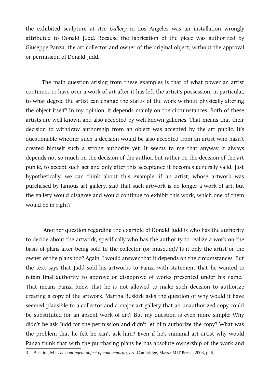the exhibited sculpture at *Ace Gallery* in Los Angeles was an installation wrongly attributed to Donald Judd. Because the fabrication of the piece was authorized by Giuseppe Panza, the art collector and owner of the original object, without the approval or permission of Donald Judd.

The main question arising from these examples is that of what power an artist continues to have over a work of art after it has left the artist's possession; in particular, to what degree the artist can change the status of the work without physically altering the object itself? In my opinion, it depends mainly on the circumstances. Both of these artists are well-known and also accepted by well-known galleries. That means that their decision to withdraw authorship from an object was accepted by the art public. It's questionable whether such a decision would be also accepted from an artist who hasn't created himself such a strong authority yet. It seems to me that anyway it always depends not so much on the decision of the author, but rather on the decision of the art public, to accept such act and only after this acceptance it becomes generally valid. Just hypothetically, we can think about this example: if an artist, whose artwork was purchased by famous art gallery, said that such artwork is no longer a work of art, but the gallery would disagree and would continue to exhibit this work, which one of them would be in right?

 Another question regarding the example of Donald Judd is who has the authority to decide about the artwork, specifically who has the authority to realize a work on the basis of plans after being sold to the collector (or museum)? Is it only the artist or the owner of the plans too? Again, I would answer that it depends on the circumstances. But the text says that Judd sold his artworks to Panza with statement that he wanted to retain final authority to approve or disapprove of works presented under his name.<sup>[3](#page-2-0)</sup> That means Panza knew that he is not allowed to make such decision to authorize creating a copy of the artwork. Martha Buskirk asks the question of why would it have seemed plausible to a collector and a major art gallery that an unauthorized copy could be substituted for an absent work of art? But my question is even more simple: Why didn't he ask Judd for the permission and didn't let him authorize the copy? What was the problem that he felt he can't ask him? Even if he's minimal art artist why would Panza think that with the purchasing plans he has absolute ownership of the work and

<span id="page-2-0"></span><sup>3</sup> Buskirk, M.: *The contingent object of contemporary art*, Cambridge, Mass.: MIT Press., 2003, p. 6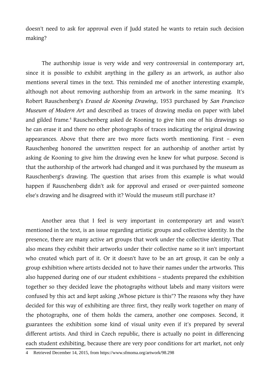doesn't need to ask for approval even if Judd stated he wants to retain such decision making?

The authorship issue is very wide and very controversial in contemporary art, since it is possible to exhibit anything in the gallery as an artwork, as author also mentions several times in the text. This reminded me of another interesting example, although not about removing authorship from an artwork in the same meaning. It's Robert Rauschenberg's *Erased de Kooning Drawing*, 1953 purchased by *San Francisco Museum of Modern Art* and described as traces of drawing media on paper with label and gilded frame.<sup>[4](#page-3-0)</sup> Rauschenberg asked de Kooning to give him one of his drawings so he can erase it and there no other photographs of traces indicating the original drawing appearances. Above that there are two more facts worth mentioning. First – even Rauschenbeg honored the unwritten respect for an authorship of another artist by asking de Kooning to give him the drawing even he knew for what purpose. Second is that the authorship of the artwork had changed and it was purchased by the museum as Rauschenberg's drawing. The question that arises from this example is what would happen if Rauschenberg didn't ask for approval and erased or over-painted someone else's drawing and he disagreed with it? Would the museum still purchase it?

Another area that I feel is very important in contemporary art and wasn't mentioned in the text, is an issue regarding artistic groups and collective identity. In the presence, there are many active art groups that work under the collective identity. That also means they exhibit their artworks under their collective name so it isn't important who created which part of it. Or it doesn't have to be an art group, it can be only a group exhibition where artists decided not to have their names under the artworks. This also happened during one of our student exhibitions – students prepared the exhibition together so they decided leave the photographs without labels and many visitors were confused by this act and kept asking "Whose picture is this"? The reasons why they have decided for this way of exhibiting are three: first, they really work together on many of the photographs, one of them holds the camera, another one composes. Second, it guarantees the exhibition some kind of visual unity even if it's prepared by several different artists. And third in Czech republic, there is actually no point in differencing each student exhibiting, because there are very poor conditions for art market, not only

<span id="page-3-0"></span><sup>4</sup> Retrieved December 14, 2015, from https://www.sfmoma.org/artwork/98.298